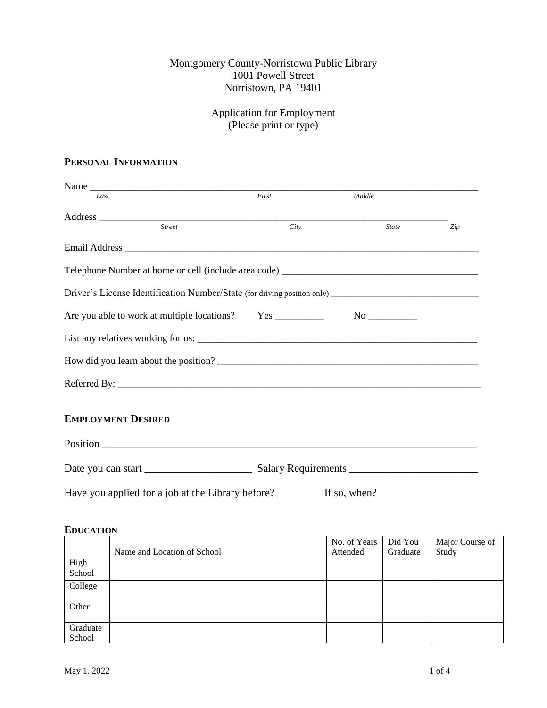## Montgomery County-Norristown Public Library 1001 Powell Street Norristown, PA 19401

# Application for Employment (Please print or type)

## **PERSONAL INFORMATION**

| Name                                                                                    |       |              |     |
|-----------------------------------------------------------------------------------------|-------|--------------|-----|
| Last                                                                                    | First | Middle       |     |
|                                                                                         |       |              |     |
| Street                                                                                  | City  | <b>State</b> | Zip |
|                                                                                         |       |              |     |
| Telephone Number at home or cell (include area code)                                    |       |              |     |
|                                                                                         |       |              |     |
|                                                                                         |       |              |     |
|                                                                                         |       |              |     |
|                                                                                         |       |              |     |
|                                                                                         |       |              |     |
| <b>EMPLOYMENT DESIRED</b>                                                               |       |              |     |
|                                                                                         |       |              |     |
|                                                                                         |       |              |     |
| Have you applied for a job at the Library before? _________ If so, when? ______________ |       |              |     |

#### Name and Location of School No. of Years Attended Did You Graduate Major Course of Study High School College **Other** Graduate School

### **EDUCATION**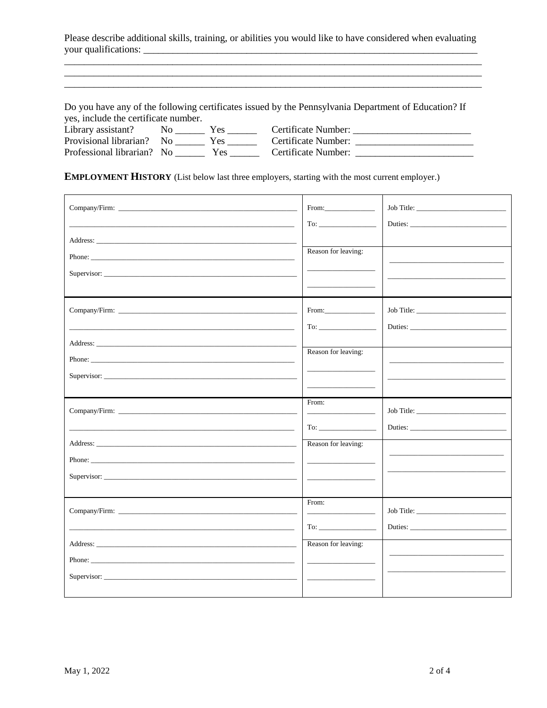Please describe additional skills, training, or abilities you would like to have considered when evaluating your qualifications:

Do you have any of the following certificates issued by the Pennsylvania Department of Education? If yes, include the certificate number.

| Library assistant?         | Y es | Certificate Number: |
|----------------------------|------|---------------------|
| Provisional librarian? No  |      | Certificate Number: |
| Professional librarian? No | Y es | Certificate Number: |

**EMPLOYMENT HISTORY** (List below last three employers, starting with the most current employer.)

| Supervisor: | Reason for leaving:                                                                                                                                                                                                                                                                                                                                                                                                                                              | Job Title: |
|-------------|------------------------------------------------------------------------------------------------------------------------------------------------------------------------------------------------------------------------------------------------------------------------------------------------------------------------------------------------------------------------------------------------------------------------------------------------------------------|------------|
|             | From: The Contract of the Contract of the Contract of the Contract of the Contract of the Contract of the Contract of the Contract of the Contract of the Contract of the Contract of the Contract of the Contract of the Cont<br>To: The contract of the contract of the contract of the contract of the contract of the contract of the contract of the contract of the contract of the contract of the contract of the contract of the contract of the contra | Job Title: |
| Phone:      | Reason for leaving:                                                                                                                                                                                                                                                                                                                                                                                                                                              |            |
|             | From:                                                                                                                                                                                                                                                                                                                                                                                                                                                            |            |
| Supervisor: | $To: \begin{tabular}{ c c c c } \hline \quad \quad & \quad \quad & \quad \quad \\ \hline \end{tabular}$<br>Reason for leaving:                                                                                                                                                                                                                                                                                                                                   |            |
|             | From:<br><u> 1989 - Johann John Barn, mars and de Branch Barn, mars and de Branch Barn, mars and de Branch Barn, mars and de Branch Barn, mars and de Branch Barn, mars and de Branch Barn, mars and de Branch Barn, mars and de Branch B</u>                                                                                                                                                                                                                    |            |
| Supervisor: | Reason for leaving:                                                                                                                                                                                                                                                                                                                                                                                                                                              |            |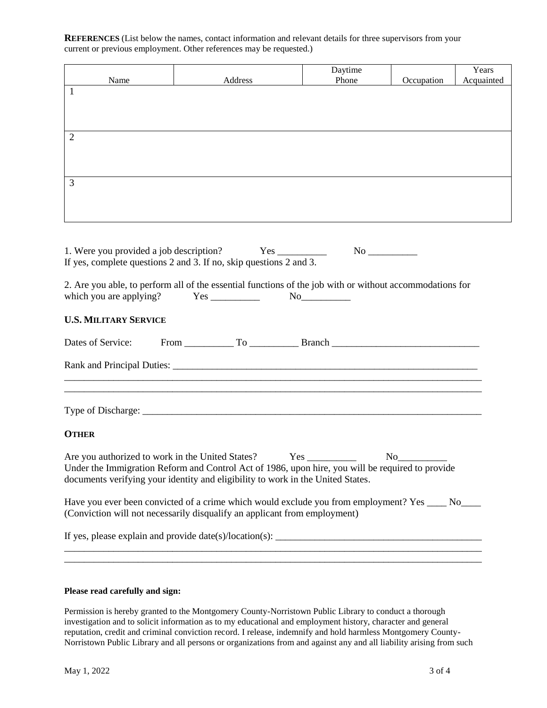**REFERENCES** (List below the names, contact information and relevant details for three supervisors from your current or previous employment. Other references may be requested.)

|      |         | Daytime<br>Phone |            | Years<br>Acquainted |
|------|---------|------------------|------------|---------------------|
| Name | Address |                  | Occupation |                     |
|      |         |                  |            |                     |
|      |         |                  |            |                     |
|      |         |                  |            |                     |
|      |         |                  |            |                     |
| 2    |         |                  |            |                     |
|      |         |                  |            |                     |
|      |         |                  |            |                     |
|      |         |                  |            |                     |
|      |         |                  |            |                     |
| 3    |         |                  |            |                     |
|      |         |                  |            |                     |
|      |         |                  |            |                     |
|      |         |                  |            |                     |
|      |         |                  |            |                     |

| 1. Were you provided a job description? Yes ___________<br>If yes, complete questions 2 and 3. If no, skip questions 2 and 3. |  |                                                                                                          |
|-------------------------------------------------------------------------------------------------------------------------------|--|----------------------------------------------------------------------------------------------------------|
| which you are applying? $Yes \_$ No                                                                                           |  | 2. Are you able, to perform all of the essential functions of the job with or without accommodations for |
| <b>U.S. MILITARY SERVICE</b>                                                                                                  |  |                                                                                                          |
|                                                                                                                               |  |                                                                                                          |
|                                                                                                                               |  |                                                                                                          |
|                                                                                                                               |  |                                                                                                          |
|                                                                                                                               |  |                                                                                                          |
| <b>OTHER</b>                                                                                                                  |  |                                                                                                          |

Are you authorized to work in the United States? Yes \_\_\_\_\_\_\_\_\_\_\_\_ No\_\_\_\_\_\_\_\_\_\_\_\_ Under the Immigration Reform and Control Act of 1986, upon hire, you will be required to provide documents verifying your identity and eligibility to work in the United States.

Have you ever been convicted of a crime which would exclude you from employment? Yes \_\_\_\_ No\_\_\_\_ (Conviction will not necessarily disqualify an applicant from employment)

\_\_\_\_\_\_\_\_\_\_\_\_\_\_\_\_\_\_\_\_\_\_\_\_\_\_\_\_\_\_\_\_\_\_\_\_\_\_\_\_\_\_\_\_\_\_\_\_\_\_\_\_\_\_\_\_\_\_\_\_\_\_\_\_\_\_\_\_\_\_\_\_\_\_\_\_\_\_\_\_\_\_\_\_\_

\_\_\_\_\_\_\_\_\_\_\_\_\_\_\_\_\_\_\_\_\_\_\_\_\_\_\_\_\_\_\_\_\_\_\_\_\_\_\_\_\_\_\_\_\_\_\_\_\_\_\_\_\_\_\_\_\_\_\_\_\_\_\_\_\_\_\_\_\_\_\_\_\_\_\_\_\_\_\_\_\_\_\_\_\_

If yes, please explain and provide date(s)/location(s):  $\frac{1}{\frac{1}{2} \sum_{i=1}^{n} \sum_{j=1}^{n} x_j^2 + \sum_{j=1}^{n} x_j^2 + \sum_{j=1}^{n} x_j^2 + \sum_{j=1}^{n} x_j^2 + \sum_{j=1}^{n} x_j^2 + \sum_{j=1}^{n} x_j^2 + \sum_{j=1}^{n} x_j^2}$ 

### **Please read carefully and sign:**

Permission is hereby granted to the Montgomery County-Norristown Public Library to conduct a thorough investigation and to solicit information as to my educational and employment history, character and general reputation, credit and criminal conviction record. I release, indemnify and hold harmless Montgomery County-Norristown Public Library and all persons or organizations from and against any and all liability arising from such